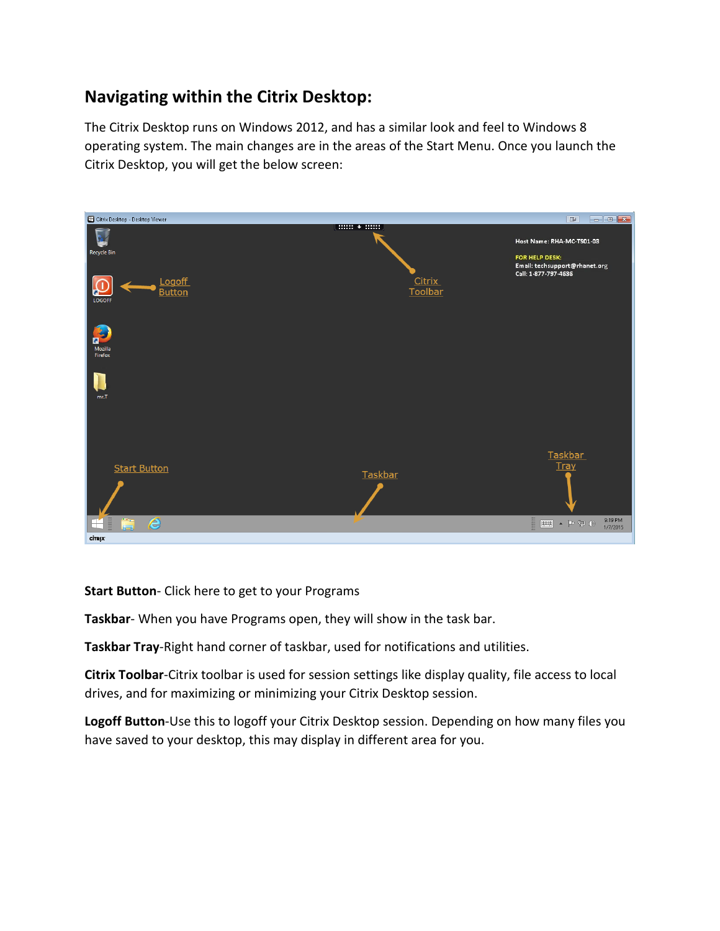## **Navigating within the Citrix Desktop:**

The Citrix Desktop runs on Windows 2012, and has a similar look and feel to Windows 8 operating system. The main changes are in the areas of the Start Menu. Once you launch the Citrix Desktop, you will get the below screen:



**Start Button**- Click here to get to your Programs

**Taskbar**- When you have Programs open, they will show in the task bar.

**Taskbar Tray**-Right hand corner of taskbar, used for notifications and utilities.

**Citrix Toolbar**-Citrix toolbar is used for session settings like display quality, file access to local drives, and for maximizing or minimizing your Citrix Desktop session.

**Logoff Button**-Use this to logoff your Citrix Desktop session. Depending on how many files you have saved to your desktop, this may display in different area for you.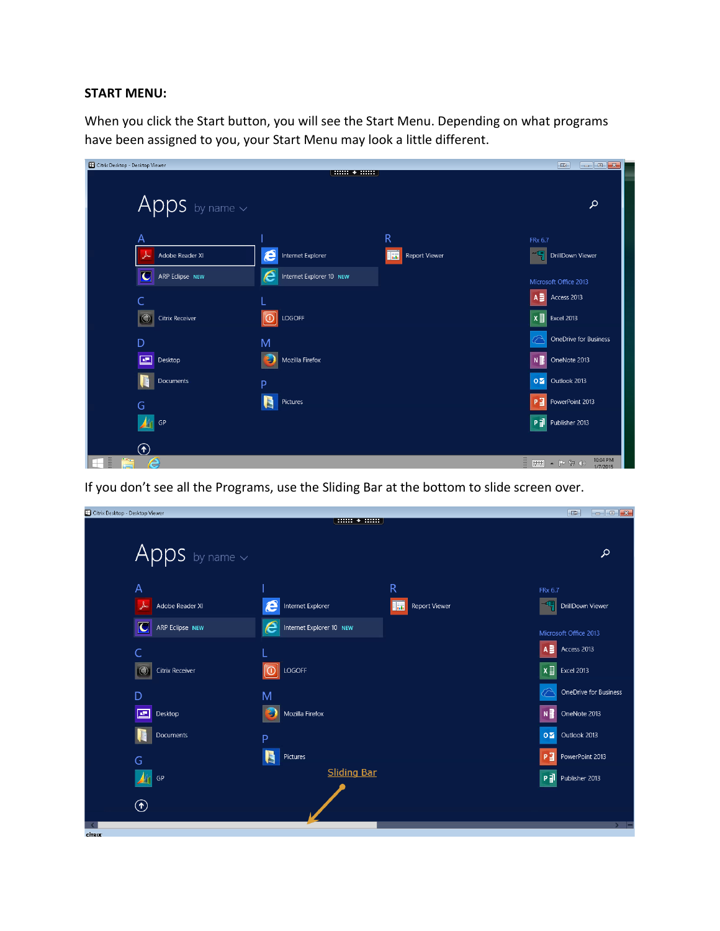## **START MENU:**

When you click the Start button, you will see the Start Menu. Depending on what programs have been assigned to you, your Start Menu may look a little different.



If you don't see all the Programs, use the Sliding Bar at the bottom to slide screen over.

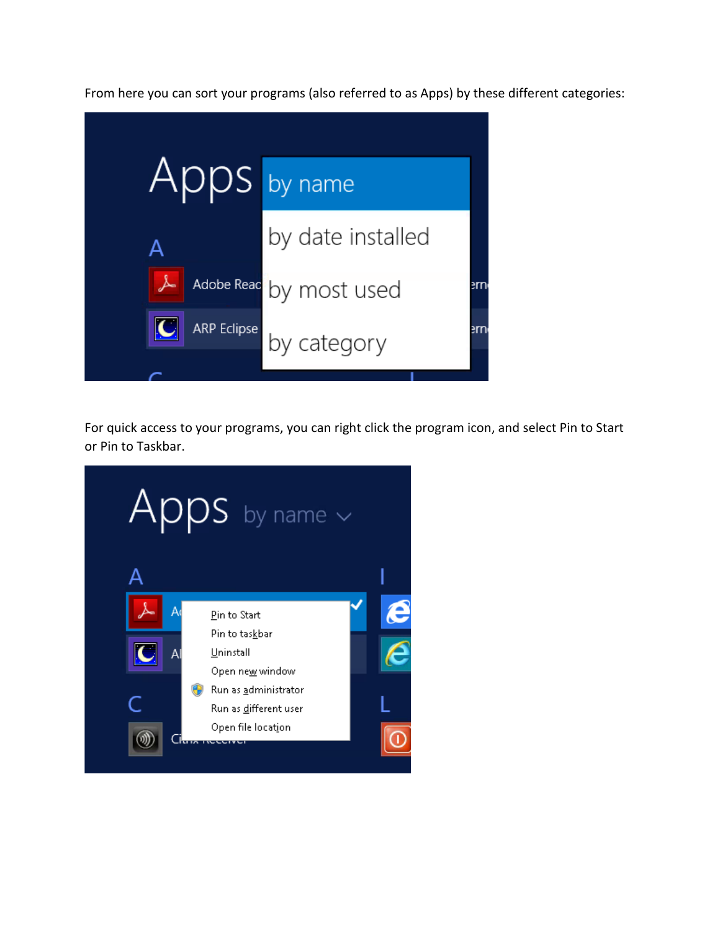From here you can sort your programs (also referred to as Apps) by these different categories:



For quick access to your programs, you can right click the program icon, and select Pin to Start or Pin to Taskbar.

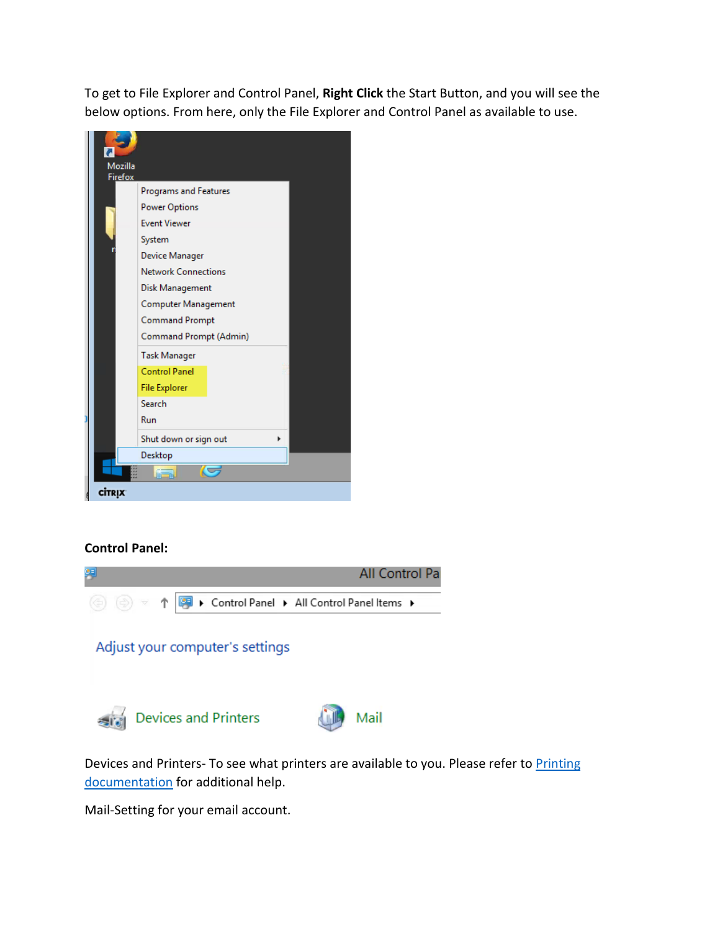To get to File Explorer and Control Panel, **Right Click** the Start Button, and you will see the below options. From here, only the File Explorer and Control Panel as available to use.



## **Control Panel:**



Devices and Printers- To see what printers are available to you. Please refer to Printing [documentation](http://www.rhanet.org/docs/Printing.pdf) for additional help.

Mail-Setting for your email account.